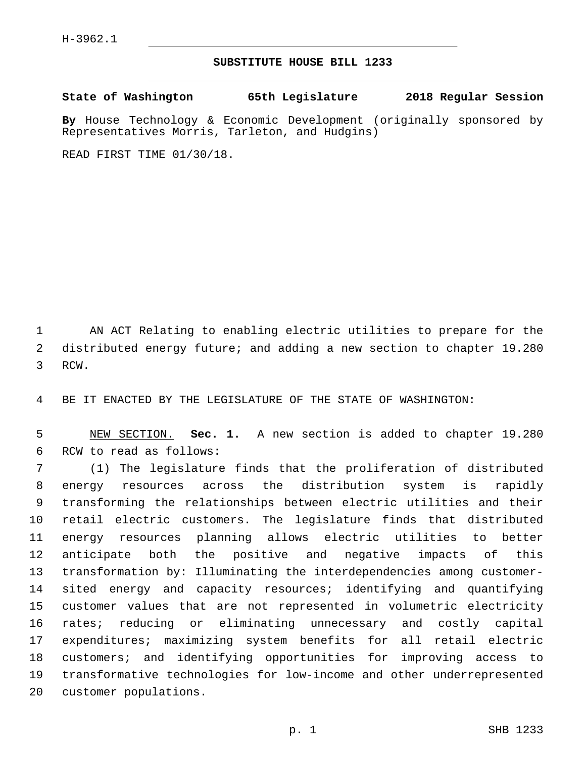## **SUBSTITUTE HOUSE BILL 1233**

**State of Washington 65th Legislature 2018 Regular Session**

**By** House Technology & Economic Development (originally sponsored by Representatives Morris, Tarleton, and Hudgins)

READ FIRST TIME 01/30/18.

 AN ACT Relating to enabling electric utilities to prepare for the distributed energy future; and adding a new section to chapter 19.280 3 RCW.

BE IT ENACTED BY THE LEGISLATURE OF THE STATE OF WASHINGTON:

 NEW SECTION. **Sec. 1.** A new section is added to chapter 19.280 6 RCW to read as follows:

 (1) The legislature finds that the proliferation of distributed energy resources across the distribution system is rapidly transforming the relationships between electric utilities and their retail electric customers. The legislature finds that distributed energy resources planning allows electric utilities to better anticipate both the positive and negative impacts of this transformation by: Illuminating the interdependencies among customer- sited energy and capacity resources; identifying and quantifying customer values that are not represented in volumetric electricity rates; reducing or eliminating unnecessary and costly capital expenditures; maximizing system benefits for all retail electric customers; and identifying opportunities for improving access to transformative technologies for low-income and other underrepresented 20 customer populations.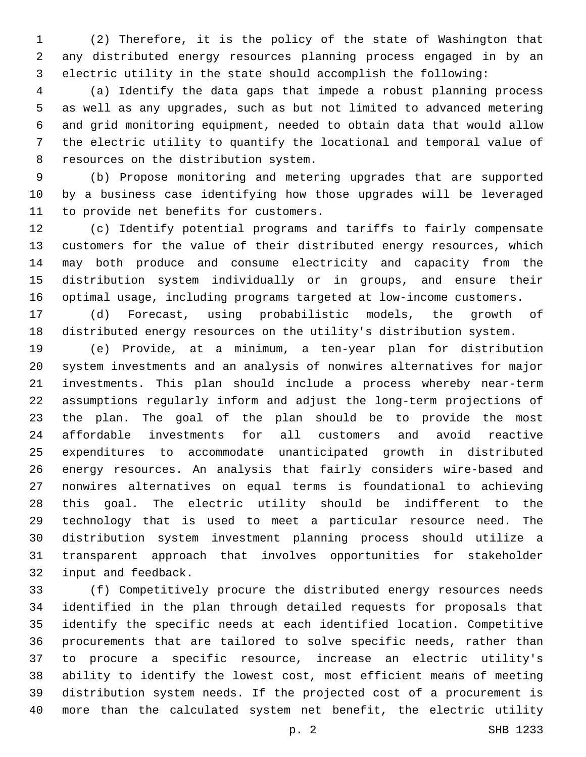(2) Therefore, it is the policy of the state of Washington that any distributed energy resources planning process engaged in by an electric utility in the state should accomplish the following:

 (a) Identify the data gaps that impede a robust planning process as well as any upgrades, such as but not limited to advanced metering and grid monitoring equipment, needed to obtain data that would allow the electric utility to quantify the locational and temporal value of 8 resources on the distribution system.

 (b) Propose monitoring and metering upgrades that are supported by a business case identifying how those upgrades will be leveraged 11 to provide net benefits for customers.

 (c) Identify potential programs and tariffs to fairly compensate customers for the value of their distributed energy resources, which may both produce and consume electricity and capacity from the distribution system individually or in groups, and ensure their optimal usage, including programs targeted at low-income customers.

 (d) Forecast, using probabilistic models, the growth of distributed energy resources on the utility's distribution system.

 (e) Provide, at a minimum, a ten-year plan for distribution system investments and an analysis of nonwires alternatives for major investments. This plan should include a process whereby near-term assumptions regularly inform and adjust the long-term projections of the plan. The goal of the plan should be to provide the most affordable investments for all customers and avoid reactive expenditures to accommodate unanticipated growth in distributed energy resources. An analysis that fairly considers wire-based and nonwires alternatives on equal terms is foundational to achieving this goal. The electric utility should be indifferent to the technology that is used to meet a particular resource need. The distribution system investment planning process should utilize a transparent approach that involves opportunities for stakeholder 32 input and feedback.

 (f) Competitively procure the distributed energy resources needs identified in the plan through detailed requests for proposals that identify the specific needs at each identified location. Competitive procurements that are tailored to solve specific needs, rather than to procure a specific resource, increase an electric utility's ability to identify the lowest cost, most efficient means of meeting distribution system needs. If the projected cost of a procurement is more than the calculated system net benefit, the electric utility

p. 2 SHB 1233